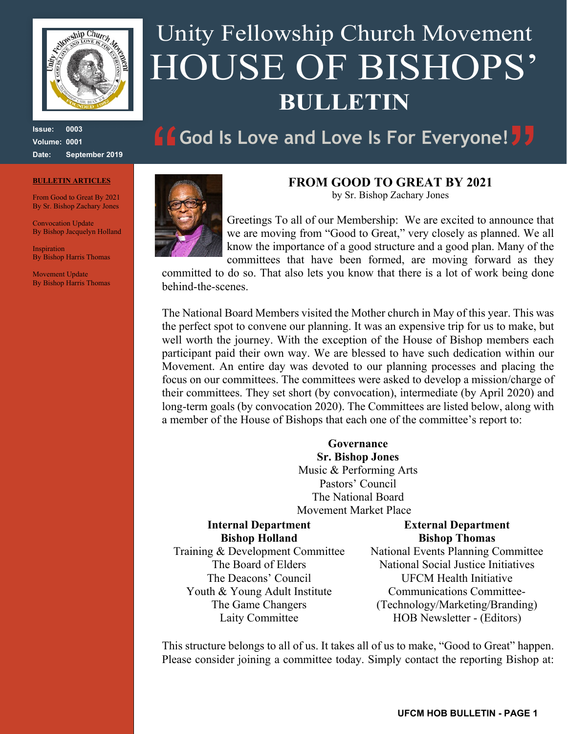

**Issue: 0003 Volume: 0001 Date: September 2019**

#### **BULLETIN ARTICLES**

From Good to Great By 2021 By Sr. Bishop Zachary Jones

Convocation Update By Bishop Jacquelyn Holland

**Inspiration** By Bishop Harris Thomas

Movement Update By Bishop Harris Thomas

# Unity Fellowship Church Movement HOUSE OF BISHOPS' **BULLETIN**

# **God Is Love and Love Is For Everyone!**



#### **FROM GOOD TO GREAT BY 2021**

by Sr. Bishop Zachary Jones

Greetings To all of our Membership: We are excited to announce that we are moving from "Good to Great," very closely as planned. We all know the importance of a good structure and a good plan. Many of the committees that have been formed, are moving forward as they

committed to do so. That also lets you know that there is a lot of work being done behind-the-scenes.

The National Board Members visited the Mother church in May of this year. This was the perfect spot to convene our planning. It was an expensive trip for us to make, but well worth the journey. With the exception of the House of Bishop members each participant paid their own way. We are blessed to have such dedication within our Movement. An entire day was devoted to our planning processes and placing the focus on our committees. The committees were asked to develop a mission/charge of their committees. They set short (by convocation), intermediate (by April 2020) and long-term goals (by convocation 2020). The Committees are listed below, along with a member of the House of Bishops that each one of the committee's report to:

> **Governance Sr. Bishop Jones** Music & Performing Arts Pastors' Council The National Board Movement Market Place

#### **Internal Department Bishop Holland**

#### **External Department Bishop Thomas**

Training & Development Committee The Board of Elders The Deacons' Council Youth & Young Adult Institute The Game Changers Laity Committee

National Events Planning Committee National Social Justice Initiatives UFCM Health Initiative Communications Committee- (Technology/Marketing/Branding) HOB Newsletter - (Editors)

This structure belongs to all of us. It takes all of us to make, "Good to Great" happen. Please consider joining a committee today. Simply contact the reporting Bishop at: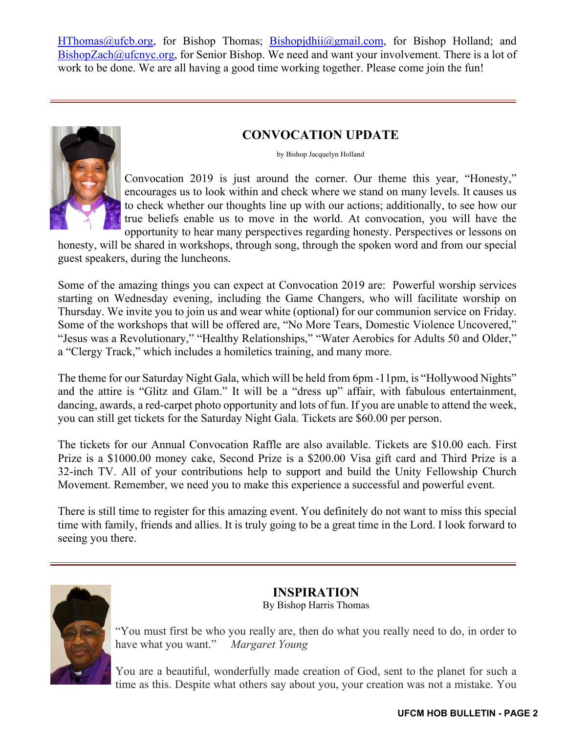HThomas@ufcb.org, for Bishop Thomas; Bishopjdhii@gmail.com, for Bishop Holland; and  $BishopZach@ufenyc.org$ , for Senior Bishop. We need and want your involvement. There is a lot of work to be done. We are all having a good time working together. Please come join the fun!



#### **CONVOCATION UPDATE**

#### by Bishop Jacquelyn Holland

Convocation 2019 is just around the corner. Our theme this year, "Honesty," encourages us to look within and check where we stand on many levels. It causes us to check whether our thoughts line up with our actions; additionally, to see how our true beliefs enable us to move in the world. At convocation, you will have the opportunity to hear many perspectives regarding honesty. Perspectives or lessons on

honesty, will be shared in workshops, through song, through the spoken word and from our special guest speakers, during the luncheons.

Some of the amazing things you can expect at Convocation 2019 are: Powerful worship services starting on Wednesday evening, including the Game Changers, who will facilitate worship on Thursday. We invite you to join us and wear white (optional) for our communion service on Friday. Some of the workshops that will be offered are, "No More Tears, Domestic Violence Uncovered," "Jesus was a Revolutionary," "Healthy Relationships," "Water Aerobics for Adults 50 and Older," a "Clergy Track," which includes a homiletics training, and many more.

The theme for our Saturday Night Gala, which will be held from 6pm -11pm, is "Hollywood Nights" and the attire is "Glitz and Glam." It will be a "dress up" affair, with fabulous entertainment, dancing, awards, a red-carpet photo opportunity and lots of fun. If you are unable to attend the week, you can still get tickets for the Saturday Night Gala. Tickets are \$60.00 per person.

The tickets for our Annual Convocation Raffle are also available. Tickets are \$10.00 each. First Prize is a \$1000.00 money cake, Second Prize is a \$200.00 Visa gift card and Third Prize is a 32-inch TV. All of your contributions help to support and build the Unity Fellowship Church Movement. Remember, we need you to make this experience a successful and powerful event.

There is still time to register for this amazing event. You definitely do not want to miss this special time with family, friends and allies. It is truly going to be a great time in the Lord. I look forward to seeing you there.



## **INSPIRATION**

By Bishop Harris Thomas

"You must first be who you really are, then do what you really need to do, in order to have what you want." *Margaret Young*

You are a beautiful, wonderfully made creation of God, sent to the planet for such a time as this. Despite what others say about you, your creation was not a mistake. You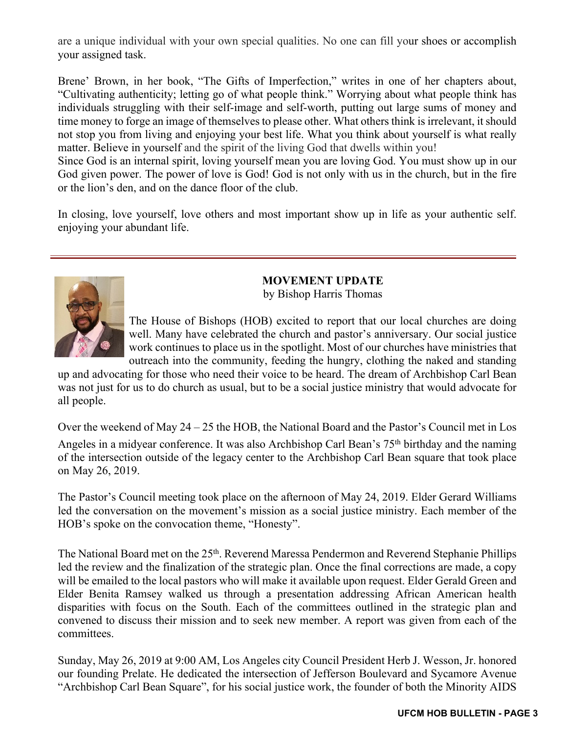are a unique individual with your own special qualities. No one can fill your shoes or accomplish your assigned task.

Brene' Brown, in her book, "The Gifts of Imperfection," writes in one of her chapters about, "Cultivating authenticity; letting go of what people think." Worrying about what people think has individuals struggling with their self-image and self-worth, putting out large sums of money and time money to forge an image of themselves to please other. What others think is irrelevant, it should not stop you from living and enjoying your best life. What you think about yourself is what really matter. Believe in yourself and the spirit of the living God that dwells within you!

Since God is an internal spirit, loving yourself mean you are loving God. You must show up in our God given power. The power of love is God! God is not only with us in the church, but in the fire or the lion's den, and on the dance floor of the club.

In closing, love yourself, love others and most important show up in life as your authentic self. enjoying your abundant life.



### **MOVEMENT UPDATE**

by Bishop Harris Thomas

The House of Bishops (HOB) excited to report that our local churches are doing well. Many have celebrated the church and pastor's anniversary. Our social justice work continues to place us in the spotlight. Most of our churches have ministries that outreach into the community, feeding the hungry, clothing the naked and standing

up and advocating for those who need their voice to be heard. The dream of Archbishop Carl Bean was not just for us to do church as usual, but to be a social justice ministry that would advocate for all people.

Over the weekend of May 24 – 25 the HOB, the National Board and the Pastor's Council met in Los Angeles in a midyear conference. It was also Archbishop Carl Bean's 75<sup>th</sup> birthday and the naming of the intersection outside of the legacy center to the Archbishop Carl Bean square that took place on May 26, 2019.

The Pastor's Council meeting took place on the afternoon of May 24, 2019. Elder Gerard Williams led the conversation on the movement's mission as a social justice ministry. Each member of the HOB's spoke on the convocation theme, "Honesty".

The National Board met on the 25<sup>th</sup>. Reverend Maressa Pendermon and Reverend Stephanie Phillips led the review and the finalization of the strategic plan. Once the final corrections are made, a copy will be emailed to the local pastors who will make it available upon request. Elder Gerald Green and Elder Benita Ramsey walked us through a presentation addressing African American health disparities with focus on the South. Each of the committees outlined in the strategic plan and convened to discuss their mission and to seek new member. A report was given from each of the committees.

Sunday, May 26, 2019 at 9:00 AM, Los Angeles city Council President Herb J. Wesson, Jr. honored our founding Prelate. He dedicated the intersection of Jefferson Boulevard and Sycamore Avenue "Archbishop Carl Bean Square", for his social justice work, the founder of both the Minority AIDS